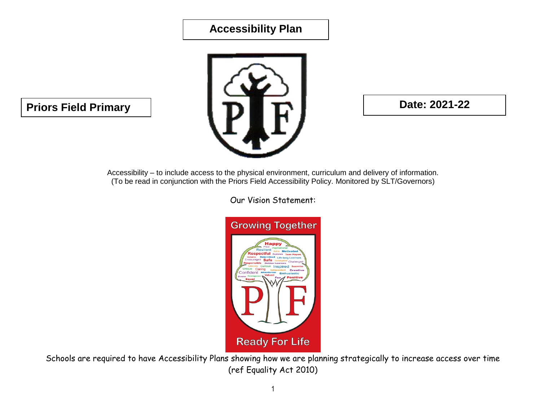## **Accessibility Plan**



Accessibility – to include access to the physical environment, curriculum and delivery of information. (To be read in conjunction with the Priors Field Accessibility Policy. Monitored by SLT/Governors)

Our Vision Statement:



Schools are required to have Accessibility Plans showing how we are planning strategically to increase access over time (ref Equality Act 2010)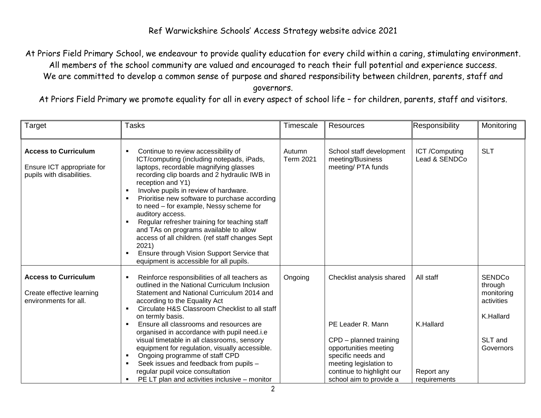## Ref Warwickshire Schools' Access Strategy website advice 2021

At Priors Field Primary School, we endeavour to provide quality education for every child within a caring, stimulating environment. All members of the school community are valued and encouraged to reach their full potential and experience success. We are committed to develop a common sense of purpose and shared responsibility between children, parents, staff and governors.

At Priors Field Primary we promote equality for all in every aspect of school life – for children, parents, staff and visitors.

| Target                                                                                 | <b>Tasks</b>                                                                                                                                                                                                                                                                                                                                                                                                                                                                                                                                                                                                                                        | Timescale           | <b>Resources</b>                                                                                                                                                                                          | Responsibility                                       | Monitoring                                                                                |
|----------------------------------------------------------------------------------------|-----------------------------------------------------------------------------------------------------------------------------------------------------------------------------------------------------------------------------------------------------------------------------------------------------------------------------------------------------------------------------------------------------------------------------------------------------------------------------------------------------------------------------------------------------------------------------------------------------------------------------------------------------|---------------------|-----------------------------------------------------------------------------------------------------------------------------------------------------------------------------------------------------------|------------------------------------------------------|-------------------------------------------------------------------------------------------|
| <b>Access to Curriculum</b><br>Ensure ICT appropriate for<br>pupils with disabilities. | Continue to review accessibility of<br>ICT/computing (including notepads, iPads,<br>laptops, recordable magnifying glasses<br>recording clip boards and 2 hydraulic IWB in<br>reception and Y1)<br>Involve pupils in review of hardware.<br>$\blacksquare$<br>Prioritise new software to purchase according<br>to need - for example, Nessy scheme for<br>auditory access.<br>Regular refresher training for teaching staff<br>and TAs on programs available to allow<br>access of all children. (ref staff changes Sept<br>2021)<br>Ensure through Vision Support Service that<br>equipment is accessible for all pupils.                          | Autumn<br>Term 2021 | School staff development<br>meeting/Business<br>meeting/ PTA funds                                                                                                                                        | ICT/Computing<br>Lead & SENDCo                       | <b>SLT</b>                                                                                |
| <b>Access to Curriculum</b><br>Create effective learning<br>environments for all.      | Reinforce responsibilities of all teachers as<br>outlined in the National Curriculum Inclusion<br>Statement and National Curriculum 2014 and<br>according to the Equality Act<br>Circulate H&S Classroom Checklist to all staff<br>$\blacksquare$<br>on termly basis.<br>Ensure all classrooms and resources are<br>$\blacksquare$<br>organised in accordance with pupil need.i.e<br>visual timetable in all classrooms, sensory<br>equipment for regulation, visually accessible.<br>Ongoing programme of staff CPD<br>Seek issues and feedback from pupils -<br>regular pupil voice consultation<br>PE LT plan and activities inclusive – monitor | Ongoing             | Checklist analysis shared<br>PE Leader R. Mann<br>CPD - planned training<br>opportunities meeting<br>specific needs and<br>meeting legislation to<br>continue to highlight our<br>school aim to provide a | All staff<br>K.Hallard<br>Report any<br>requirements | <b>SENDCo</b><br>through<br>monitoring<br>activities<br>K.Hallard<br>SLT and<br>Governors |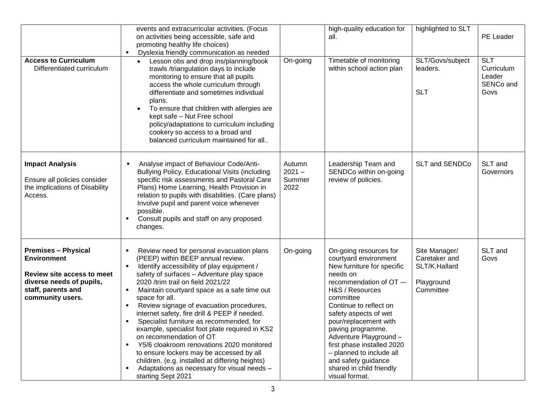| <b>Access to Curriculum</b><br>Differentiated curriculum                                                                                                    | events and extracurricular activities. (Focus<br>on activities being accessible, safe and<br>promoting healthy life choices)<br>Dyslexia friendly communication as needed<br>Lesson obs and drop ins/planning/book<br>trawls /triangulation days to include<br>monitoring to ensure that all pupils<br>access the whole curriculum through<br>differentiate and sometimes individual<br>plans.<br>To ensure that children with allergies are<br>$\bullet$<br>kept safe - Nut Free school<br>policy/adaptations to curriculum including<br>cookery so access to a broad and<br>balanced curriculum maintained for all                                                                                                                                                                           | On-going                             | high-quality education for<br>all.<br>Timetable of monitoring<br>within school action plan                                                                                                                                                                                                                                                                                                                     | highlighted to SLT<br>SLT/Govs/subject<br>leaders.<br><b>SLT</b>           | PE Leader<br><b>SLT</b><br>Curriculum<br>Leader<br>SENCo and<br>Govs |
|-------------------------------------------------------------------------------------------------------------------------------------------------------------|------------------------------------------------------------------------------------------------------------------------------------------------------------------------------------------------------------------------------------------------------------------------------------------------------------------------------------------------------------------------------------------------------------------------------------------------------------------------------------------------------------------------------------------------------------------------------------------------------------------------------------------------------------------------------------------------------------------------------------------------------------------------------------------------|--------------------------------------|----------------------------------------------------------------------------------------------------------------------------------------------------------------------------------------------------------------------------------------------------------------------------------------------------------------------------------------------------------------------------------------------------------------|----------------------------------------------------------------------------|----------------------------------------------------------------------|
| <b>Impact Analysis</b><br>Ensure all policies consider<br>the implications of Disability<br>Access.                                                         | Analyse impact of Behaviour Code/Anti-<br>٠<br>Bullying Policy, Educational Visits (including<br>specific risk assessments and Pastoral Care<br>Plans) Home Learning, Health Provision in<br>relation to pupils with disabilities. (Care plans)<br>Involve pupil and parent voice whenever<br>possible.<br>Consult pupils and staff on any proposed<br>changes.                                                                                                                                                                                                                                                                                                                                                                                                                                | Autumn<br>$2021 -$<br>Summer<br>2022 | Leadership Team and<br>SENDCo within on-going<br>review of policies.                                                                                                                                                                                                                                                                                                                                           | <b>SLT and SENDCo</b>                                                      | SLT and<br>Governors                                                 |
| <b>Premises - Physical</b><br><b>Environment</b><br><b>Review site access to meet</b><br>diverse needs of pupils,<br>staff, parents and<br>community users. | Review need for personal evacuation plans<br>(PEEP) within BEEP annual review.<br>Identify accessibility of play equipment /<br>$\blacksquare$<br>safety of surfaces - Adventure play space<br>2020 /trim trail on field 2021/22<br>Maintain courtyard space as a safe time out<br>space for all.<br>Review signage of evacuation procedures,<br>$\blacksquare$<br>internet safety, fire drill & PEEP if needed.<br>Specialist furniture as recommended, for<br>$\blacksquare$<br>example, specialist foot plate required in KS2<br>on recommendation of OT<br>Y5/6 cloakroom renovations 2020 monitored<br>$\blacksquare$<br>to ensure lockers may be accessed by all<br>children. (e.g. installed at differing heights)<br>Adaptations as necessary for visual needs -<br>starting Sept 2021 | On-going                             | On-going resources for<br>courtyard environment<br>New furniture for specific<br>needs on<br>recommendation of OT --<br>H&S / Resources<br>committee<br>Continue to reflect on<br>safety aspects of wet<br>pour/replacement with<br>paving programme.<br>Adventure Playground -<br>first phase installed 2020<br>- planned to include all<br>and safety guidance<br>shared in child friendly<br>visual format. | Site Manager/<br>Caretaker and<br>SLT/K.Hallard<br>Playground<br>Committee | SLT and<br>Govs                                                      |